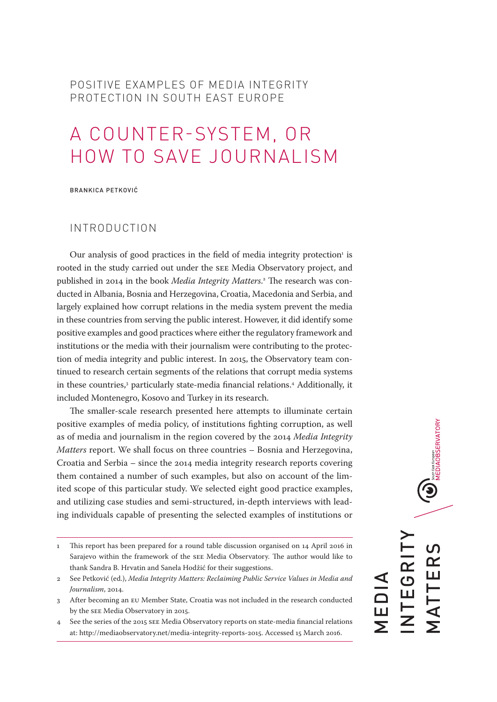# POSITIVE EXAMPLES OF MEDIA INTEGRITY PROTECTION IN SOUTH EAST EUROPE

# A COUNTER-SYSTEM, OR HOW TO SAVE JOURNALISM

BRANKICA PETKOVIĆ

## INTRODUCTION

Our analysis of good practices in the field of media integrity protection<sup>1</sup> is rooted in the study carried out under the SEE Media Observatory project, and published in 2014 in the book *Media Integrity Matters*. 2 The research was conducted in Albania, Bosnia and Herzegovina, Croatia, Macedonia and Serbia, and largely explained how corrupt relations in the media system prevent the media in these countries from serving the public interest. However, it did identify some positive examples and good practices where either the regulatory framework and institutions or the media with their journalism were contributing to the protection of media integrity and public interest. In 2015, the Observatory team continued to research certain segments of the relations that corrupt media systems in these countries,<sup>3</sup> particularly state-media financial relations.<sup>4</sup> Additionally, it included Montenegro, Kosovo and Turkey in its research.

The smaller-scale research presented here attempts to illuminate certain positive examples of media policy, of institutions fighting corruption, as well as of media and journalism in the region covered by the 2014 *Media Integrity Matters* report. We shall focus on three countries – Bosnia and Herzegovina, Croatia and Serbia – since the 2014 media integrity research reports covering them contained a number of such examples, but also on account of the limited scope of this particular study. We selected eight good practice examples, and utilizing case studies and semi-structured, in-depth interviews with leading individuals capable of presenting the selected examples of institutions or

4 See the series of the 2015 SEE Media Observatory reports on state-media financial relations at:<http://mediaobservatory.net/media-integrity-reports-2015>. Accessed 15 March 2016.

**U** South EST European<br>MEDIAOBSERVATORY INTEGRITY MATTERS TTER NTEGRI MEDIA —<br>Г<br>Г

<sup>1</sup> This report has been prepared for a round table discussion organised on 14 April 2016 in Sarajevo within the framework of the SEE Media Observatory. The author would like to thank Sandra B. Hrvatin and Sanela Hodžić for their suggestions.

<sup>2</sup> See Petković (ed.), *Media Integrity Matters: Reclaiming Public Service Values in Media and Journalism*, 2014.

After becoming an EU Member State, Croatia was not included in the research conducted by the SEE Media Observatory in 2015.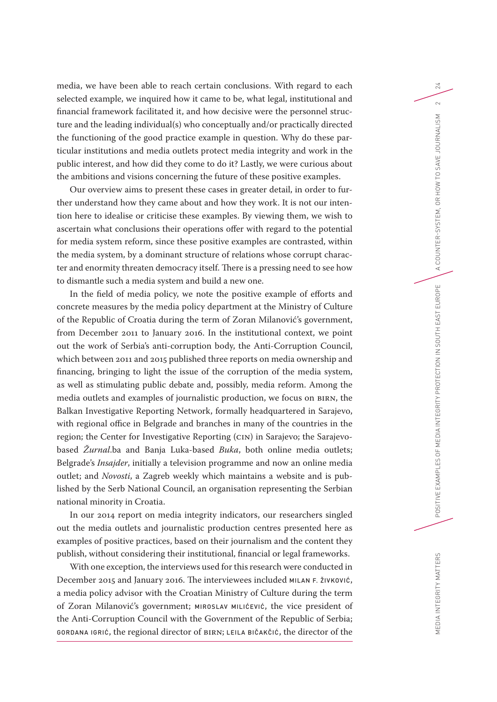media, we have been able to reach certain conclusions. With regard to each selected example, we inquired how it came to be, what legal, institutional and financial framework facilitated it, and how decisive were the personnel structure and the leading individual(s) who conceptually and/or practically directed the functioning of the good practice example in question. Why do these particular institutions and media outlets protect media integrity and work in the public interest, and how did they come to do it? Lastly, we were curious about the ambitions and visions concerning the future of these positive examples.

Our overview aims to present these cases in greater detail, in order to further understand how they came about and how they work. It is not our intention here to idealise or criticise these examples. By viewing them, we wish to ascertain what conclusions their operations offer with regard to the potential for media system reform, since these positive examples are contrasted, within the media system, by a dominant structure of relations whose corrupt character and enormity threaten democracy itself. There is a pressing need to see how to dismantle such a media system and build a new one.

In the field of media policy, we note the positive example of efforts and concrete measures by the media policy department at the Ministry of Culture of the Republic of Croatia during the term of Zoran Milanović's government, from December 2011 to January 2016. In the institutional context, we point out the work of Serbia's anti-corruption body, the Anti-Corruption Council, which between 2011 and 2015 published three reports on media ownership and financing, bringing to light the issue of the corruption of the media system, as well as stimulating public debate and, possibly, media reform. Among the media outlets and examples of journalistic production, we focus on BIRN, the Balkan Investigative Reporting Network, formally headquartered in Sarajevo, with regional office in Belgrade and branches in many of the countries in the region; the Center for Investigative Reporting (CIN) in Sarajevo; the Sarajevobased *Žurnal*.ba and Banja Luka-based *Buka*, both online media outlets; Belgrade's *Insajder*, initially a television programme and now an online media outlet; and *Novosti*, a Zagreb weekly which maintains a website and is published by the Serb National Council, an organisation representing the Serbian national minority in Croatia.

In our 2014 report on media integrity indicators, our researchers singled out the media outlets and journalistic production centres presented here as examples of positive practices, based on their journalism and the content they publish, without considering their institutional, financial or legal frameworks.

With one exception, the interviews used for this research were conducted in December 2015 and January 2016. The interviewees included MILAN F. ŽIVKOVIĆ, a media policy advisor with the Croatian Ministry of Culture during the term of Zoran Milanović's government; MIROSLAV MILIĆEVIĆ, the vice president of the Anti-Corruption Council with the Government of the Republic of Serbia; GORDANA IGRIĆ, the regional director of BIRN; LEILA BIČAKČIĆ, the director of the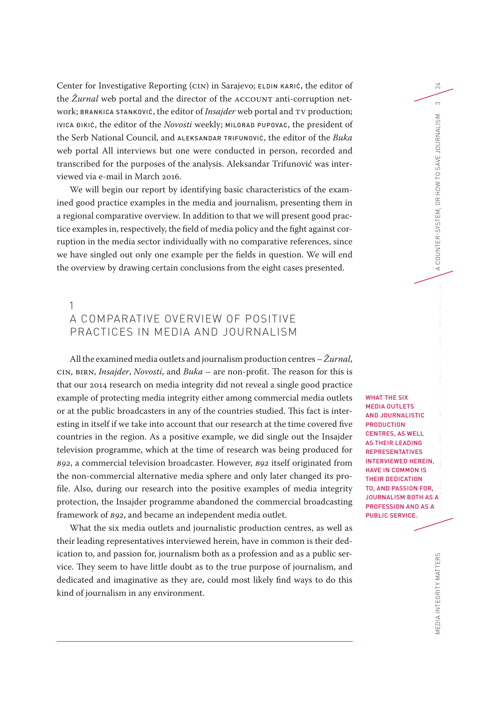Center for Investigative Reporting (CIN) in Sarajevo; ELDIN KARIĆ, the editor of the *Žurnal* web portal and the director of the ACCOUNT anti-corruption network; BRANKICA STANKOVIĆ, the editor of *Insajder* web portal and TV production; IVICA ĐIKIĆ, the editor of the *Novosti* weekly; MILORAD PUPOVAC, the president of the Serb National Council, and ALEKSANDAR TRIFUNOVIĆ, the editor of the *Buka* web portal All interviews but one were conducted in person, recorded and transcribed for the purposes of the analysis. Aleksandar Trifunović was interviewed via e-mail in March 2016.

We will begin our report by identifying basic characteristics of the examined good practice examples in the media and journalism, presenting them in a regional comparative overview. In addition to that we will present good practice examples in, respectively, the field of media policy and the fight against corruption in the media sector individually with no comparative references, since we have singled out only one example per the fields in question. We will end the overview by drawing certain conclusions from the eight cases presented.

# 1 A COMPARATIVE OVERVIEW OF POSITIVE PRACTICES IN MEDIA AND JOURNALISM

All the examined media outlets and journalism production centres – *Žurnal*, CIN, BIRN, *Insajder*, *Novosti*, and *Buka* – are non-profit. The reason for this is that our 2014 research on media integrity did not reveal a single good practice example of protecting media integrity either among commercial media outlets or at the public broadcasters in any of the countries studied. This fact is interesting in itself if we take into account that our research at the time covered five countries in the region. As a positive example, we did single out the Insajder television programme, which at the time of research was being produced for *B92*, a commercial television broadcaster. However, *B92* itself originated from the non-commercial alternative media sphere and only later changed its profile. Also, during our research into the positive examples of media integrity protection, the Insajder programme abandoned the commercial broadcasting framework of *B92*, and became an independent media outlet.

What the six media outlets and journalistic production centres, as well as their leading representatives interviewed herein, have in common is their dedication to, and passion for, journalism both as a profession and as a public service. They seem to have little doubt as to the true purpose of journalism, and dedicated and imaginative as they are, could most likely find ways to do this kind of journalism in any environment.

WHAT THE SIX MEDIA OUTLETS AND JOURNALISTIC PRODUCTION CENTRES, AS WELL AS THEIR LEADING REPRESENTATIVES INTERVIEWED HEREIN, HAVE IN COMMON IS THEIR DEDICATION TO, AND PASSION FOR, JOURNALISM BOTH AS A PROFESSION AND AS A PUBLIC SERVICE.

24

 $\infty$ 

ISM

MEDIA INTEGRITY MATTERS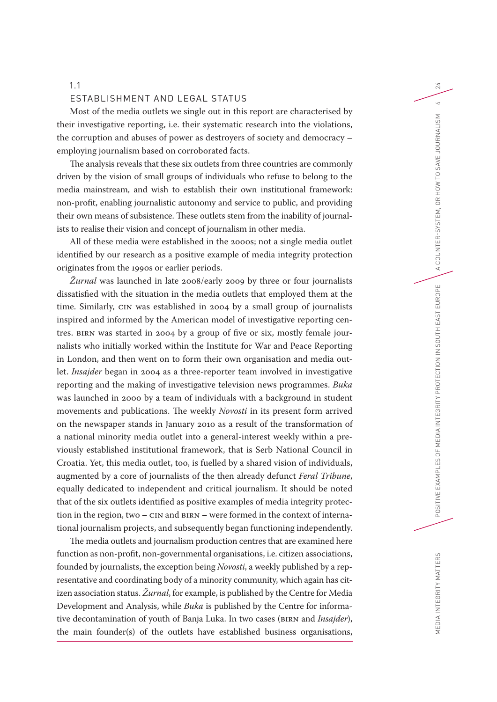#### 1.1

#### ESTABLISHMENT AND LEGAL STATUS

Most of the media outlets we single out in this report are characterised by their investigative reporting, i.e. their systematic research into the violations, the corruption and abuses of power as destroyers of society and democracy – employing journalism based on corroborated facts.

The analysis reveals that these six outlets from three countries are commonly driven by the vision of small groups of individuals who refuse to belong to the media mainstream, and wish to establish their own institutional framework: non-profit, enabling journalistic autonomy and service to public, and providing their own means of subsistence. These outlets stem from the inability of journalists to realise their vision and concept of journalism in other media.

All of these media were established in the 2000s; not a single media outlet identified by our research as a positive example of media integrity protection originates from the 1990s or earlier periods.

*Žurnal* was launched in late 2008/early 2009 by three or four journalists dissatisfied with the situation in the media outlets that employed them at the time. Similarly, CIN was established in 2004 by a small group of journalists inspired and informed by the American model of investigative reporting centres. BIRN was started in 2004 by a group of five or six, mostly female journalists who initially worked within the Institute for War and Peace Reporting in London, and then went on to form their own organisation and media outlet. *Insajder* began in 2004 as a three-reporter team involved in investigative reporting and the making of investigative television news programmes. *Buka* was launched in 2000 by a team of individuals with a background in student movements and publications. The weekly *Novosti* in its present form arrived on the newspaper stands in January 2010 as a result of the transformation of a national minority media outlet into a general-interest weekly within a previously established institutional framework, that is Serb National Council in Croatia. Yet, this media outlet, too, is fuelled by a shared vision of individuals, augmented by a core of journalists of the then already defunct *Feral Tribune*, equally dedicated to independent and critical journalism. It should be noted that of the six outlets identified as positive examples of media integrity protection in the region, two – CIN and BIRN – were formed in the context of international journalism projects, and subsequently began functioning independently.

The media outlets and journalism production centres that are examined here function as non-profit, non-governmental organisations, i.e. citizen associations, founded by journalists, the exception being *Novosti*, a weekly published by a representative and coordinating body of a minority community, which again has citizen association status. *Žurnal*, for example, is published by the Centre for Media Development and Analysis, while *Buka* is published by the Centre for informative decontamination of youth of Banja Luka. In two cases (BIRN and *Insajder*), the main founder(s) of the outlets have established business organisations,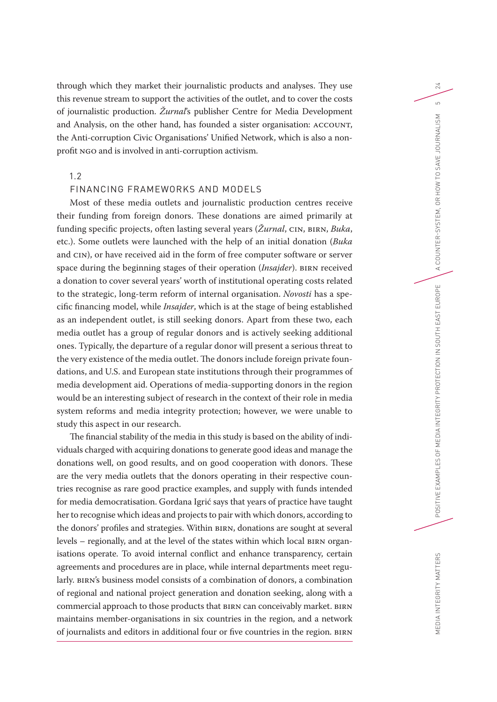through which they market their journalistic products and analyses. They use this revenue stream to support the activities of the outlet, and to cover the costs of journalistic production. *Žurnal*'s publisher Centre for Media Development and Analysis, on the other hand, has founded a sister organisation: ACCOUNT, the Anti-corruption Civic Organisations' Unified Network, which is also a nonprofit NGO and is involved in anti-corruption activism.

### 1.2

## FINANCING FRAMEWORKS AND MODELS

Most of these media outlets and journalistic production centres receive their funding from foreign donors. These donations are aimed primarily at funding specific projects, often lasting several years (*Žurnal*, CIN, BIRN, *Buka*, etc.). Some outlets were launched with the help of an initial donation (*Buka* and CIN), or have received aid in the form of free computer software or server space during the beginning stages of their operation (*Insajder*). BIRN received a donation to cover several years' worth of institutional operating costs related to the strategic, long-term reform of internal organisation. *Novosti* has a specific financing model, while *Insajder*, which is at the stage of being established as an independent outlet, is still seeking donors. Apart from these two, each media outlet has a group of regular donors and is actively seeking additional ones. Typically, the departure of a regular donor will present a serious threat to the very existence of the media outlet. The donors include foreign private foundations, and U.S. and European state institutions through their programmes of media development aid. Operations of media-supporting donors in the region would be an interesting subject of research in the context of their role in media system reforms and media integrity protection; however, we were unable to study this aspect in our research.

The financial stability of the media in this study is based on the ability of individuals charged with acquiring donations to generate good ideas and manage the donations well, on good results, and on good cooperation with donors. These are the very media outlets that the donors operating in their respective countries recognise as rare good practice examples, and supply with funds intended for media democratisation. Gordana Igrić says that years of practice have taught her to recognise which ideas and projects to pair with which donors, according to the donors' profiles and strategies. Within BIRN, donations are sought at several levels – regionally, and at the level of the states within which local BIRN organisations operate. To avoid internal conflict and enhance transparency, certain agreements and procedures are in place, while internal departments meet regularly. BIRN's business model consists of a combination of donors, a combination of regional and national project generation and donation seeking, along with a commercial approach to those products that BIRN can conceivably market. BIRN maintains member-organisations in six countries in the region, and a network of journalists and editors in additional four or five countries in the region. BIRN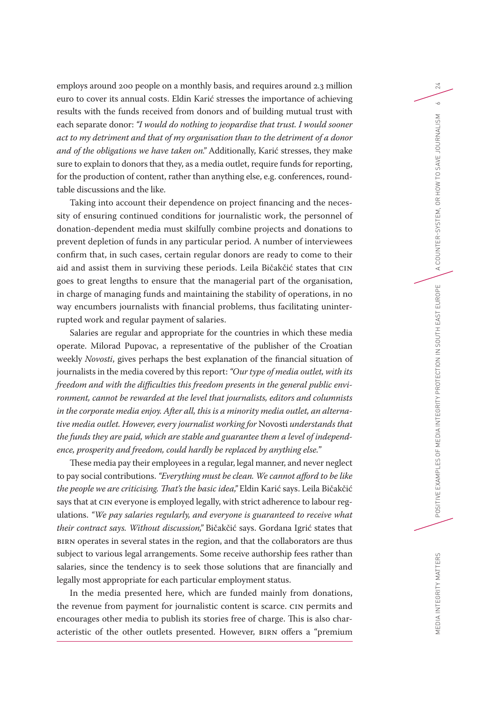employs around 200 people on a monthly basis, and requires around 2.3 million euro to cover its annual costs. Eldin Karić stresses the importance of achieving results with the funds received from donors and of building mutual trust with each separate donor: *"I would do nothing to jeopardise that trust. I would sooner act to my detriment and that of my organisation than to the detriment of a donor and of the obligations we have taken on."* Additionally, Karić stresses, they make sure to explain to donors that they, as a media outlet, require funds for reporting, for the production of content, rather than anything else, e.g. conferences, roundtable discussions and the like.

Taking into account their dependence on project financing and the necessity of ensuring continued conditions for journalistic work, the personnel of donation-dependent media must skilfully combine projects and donations to prevent depletion of funds in any particular period. A number of interviewees confirm that, in such cases, certain regular donors are ready to come to their aid and assist them in surviving these periods. Leila Bičakčić states that CIN goes to great lengths to ensure that the managerial part of the organisation, in charge of managing funds and maintaining the stability of operations, in no way encumbers journalists with financial problems, thus facilitating uninterrupted work and regular payment of salaries.

Salaries are regular and appropriate for the countries in which these media operate. Milorad Pupovac, a representative of the publisher of the Croatian weekly *Novosti*, gives perhaps the best explanation of the financial situation of journalists in the media covered by this report: *"Our type of media outlet, with its freedom and with the difficulties this freedom presents in the general public environment, cannot be rewarded at the level that journalists, editors and columnists in the corporate media enjoy. After all, this is a minority media outlet, an alternative media outlet. However, every journalist working for* Novosti *understands that the funds they are paid, which are stable and guarantee them a level of independence, prosperity and freedom, could hardly be replaced by anything else.*"

These media pay their employees in a regular, legal manner, and never neglect to pay social contributions. *"Everything must be clean. We cannot afford to be like the people we are criticising. That's the basic idea,"* Eldin Karić says. Leila Bičakčić says that at CIN everyone is employed legally, with strict adherence to labour regulations. *"We pay salaries regularly, and everyone is guaranteed to receive what their contract says. Without discussion,"* Bičakčić says. Gordana Igrić states that BIRN operates in several states in the region, and that the collaborators are thus subject to various legal arrangements. Some receive authorship fees rather than salaries, since the tendency is to seek those solutions that are financially and legally most appropriate for each particular employment status.

In the media presented here, which are funded mainly from donations, the revenue from payment for journalistic content is scarce. CIN permits and encourages other media to publish its stories free of charge. This is also characteristic of the other outlets presented. However, BIRN offers a "premium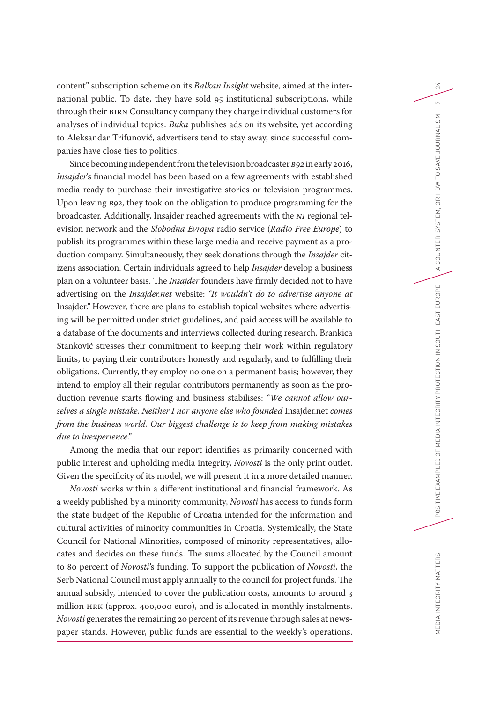content" subscription scheme on its *Balkan Insight* website, aimed at the international public. To date, they have sold 95 institutional subscriptions, while through their BIRN Consultancy company they charge individual customers for analyses of individual topics. *Buka* publishes ads on its website, yet according to Aleksandar Trifunović, advertisers tend to stay away, since successful companies have close ties to politics.

Since becoming independent from the television broadcaster *B92* in early 2016, *Insajder*'s financial model has been based on a few agreements with established media ready to purchase their investigative stories or television programmes. Upon leaving *B92*, they took on the obligation to produce programming for the broadcaster. Additionally, Insajder reached agreements with the *N1* regional television network and the *Slobodna Evropa* radio service (*Radio Free Europe*) to publish its programmes within these large media and receive payment as a production company. Simultaneously, they seek donations through the *Insajder* citizens association. Certain individuals agreed to help *Insajder* develop a business plan on a volunteer basis. The *Insajder* founders have firmly decided not to have advertising on the *Insajder.net* website: *"It wouldn't do to advertise anyone at*  Insajder*."* However, there are plans to establish topical websites where advertising will be permitted under strict guidelines, and paid access will be available to a database of the documents and interviews collected during research. Brankica Stanković stresses their commitment to keeping their work within regulatory limits, to paying their contributors honestly and regularly, and to fulfilling their obligations. Currently, they employ no one on a permanent basis; however, they intend to employ all their regular contributors permanently as soon as the production revenue starts flowing and business stabilises: *"We cannot allow ourselves a single mistake. Neither I nor anyone else who founded* Insajder.net *comes from the business world. Our biggest challenge is to keep from making mistakes due to inexperience."*

Among the media that our report identifies as primarily concerned with public interest and upholding media integrity, *Novosti* is the only print outlet. Given the specificity of its model, we will present it in a more detailed manner.

*Novosti* works within a different institutional and financial framework. As a weekly published by a minority community, *Novosti* has access to funds form the state budget of the Republic of Croatia intended for the information and cultural activities of minority communities in Croatia. Systemically, the State Council for National Minorities, composed of minority representatives, allocates and decides on these funds. The sums allocated by the Council amount to 80 percent of *Novosti'*s funding. To support the publication of *Novosti*, the Serb National Council must apply annually to the council for project funds. The annual subsidy, intended to cover the publication costs, amounts to around 3 million HRK (approx. 400,000 euro), and is allocated in monthly instalments. *Novosti* generates the remaining 20 percent of its revenue through sales at newspaper stands. However, public funds are essential to the weekly's operations.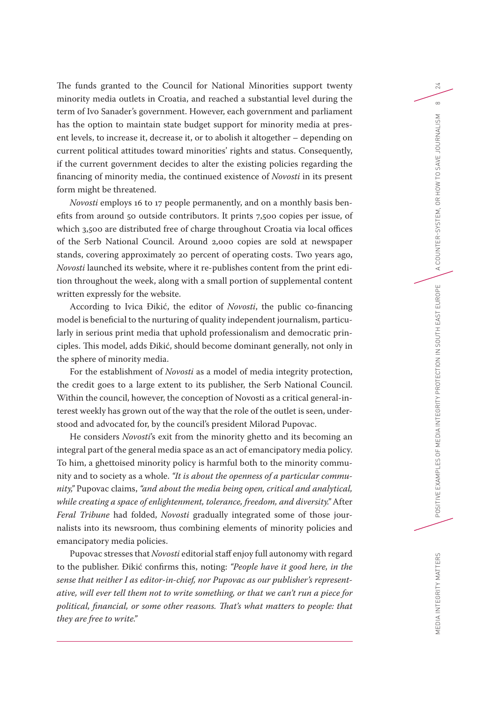The funds granted to the Council for National Minorities support twenty minority media outlets in Croatia, and reached a substantial level during the term of Ivo Sanader's government. However, each government and parliament has the option to maintain state budget support for minority media at present levels, to increase it, decrease it, or to abolish it altogether – depending on current political attitudes toward minorities' rights and status. Consequently, if the current government decides to alter the existing policies regarding the financing of minority media, the continued existence of *Novosti* in its present form might be threatened.

*Novosti* employs 16 to 17 people permanently, and on a monthly basis benefits from around 50 outside contributors. It prints 7,500 copies per issue, of which 3,500 are distributed free of charge throughout Croatia via local offices of the Serb National Council. Around 2,000 copies are sold at newspaper stands, covering approximately 20 percent of operating costs. Two years ago, *Novosti* launched its website, where it re-publishes content from the print edition throughout the week, along with a small portion of supplemental content written expressly for the website.

According to Ivica Đikić, the editor of *Novosti*, the public co-financing model is beneficial to the nurturing of quality independent journalism, particularly in serious print media that uphold professionalism and democratic principles. This model, adds Đikić, should become dominant generally, not only in the sphere of minority media.

For the establishment of *Novosti* as a model of media integrity protection, the credit goes to a large extent to its publisher, the Serb National Council. Within the council, however, the conception of Novosti as a critical general-interest weekly has grown out of the way that the role of the outlet is seen, understood and advocated for, by the council's president Milorad Pupovac.

He considers *Novosti*'s exit from the minority ghetto and its becoming an integral part of the general media space as an act of emancipatory media policy. To him, a ghettoised minority policy is harmful both to the minority community and to society as a whole. *"It is about the openness of a particular community,"* Pupovac claims, *"and about the media being open, critical and analytical, while creating a space of enlightenment, tolerance, freedom, and diversity."* After *Feral Tribune* had folded, *Novosti* gradually integrated some of those journalists into its newsroom, thus combining elements of minority policies and emancipatory media policies.

Pupovac stresses that *Novosti* editorial staff enjoy full autonomy with regard to the publisher. Đikić confirms this, noting: *"People have it good here, in the sense that neither I as editor-in-chief, nor Pupovac as our publisher's representative, will ever tell them not to write something, or that we can't run a piece for political, financial, or some other reasons. That's what matters to people: that they are free to write."*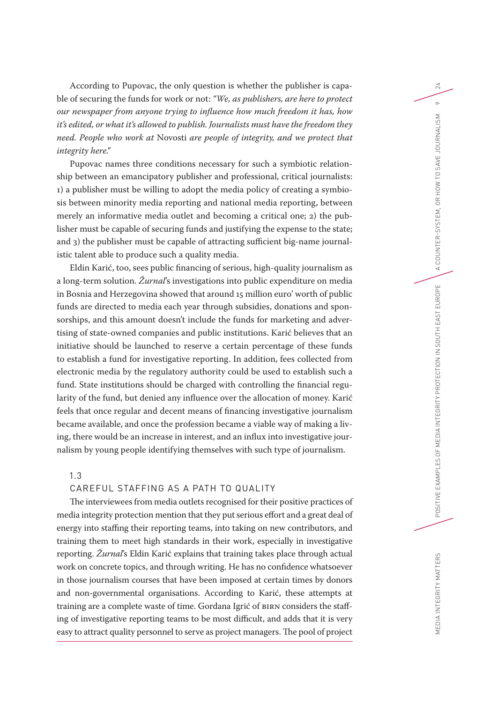According to Pupovac, the only question is whether the publisher is capable of securing the funds for work or not: *"We, as publishers, are here to protect our newspaper from anyone trying to influence how much freedom it has, how it's edited, or what it's allowed to publish. Journalists must have the freedom they need. People who work at* Novosti *are people of integrity, and we protect that integrity here."*

Pupovac names three conditions necessary for such a symbiotic relationship between an emancipatory publisher and professional, critical journalists: 1) a publisher must be willing to adopt the media policy of creating a symbiosis between minority media reporting and national media reporting, between merely an informative media outlet and becoming a critical one; 2) the publisher must be capable of securing funds and justifying the expense to the state; and 3) the publisher must be capable of attracting sufficient big-name journalistic talent able to produce such a quality media.

Eldin Karić, too, sees public financing of serious, high-quality journalism as a long-term solution. *Žurnal*'s investigations into public expenditure on media in Bosnia and Herzegovina showed that around 15 million euro' worth of public funds are directed to media each year through subsidies, donations and sponsorships, and this amount doesn't include the funds for marketing and advertising of state-owned companies and public institutions. Karić believes that an initiative should be launched to reserve a certain percentage of these funds to establish a fund for investigative reporting. In addition, fees collected from electronic media by the regulatory authority could be used to establish such a fund. State institutions should be charged with controlling the financial regularity of the fund, but denied any influence over the allocation of money. Karić feels that once regular and decent means of financing investigative journalism became available, and once the profession became a viable way of making a living, there would be an increase in interest, and an influx into investigative journalism by young people identifying themselves with such type of journalism.

## 1.3

### CAREFUL STAFFING AS A PATH TO QUALITY

The interviewees from media outlets recognised for their positive practices of media integrity protection mention that they put serious effort and a great deal of energy into staffing their reporting teams, into taking on new contributors, and training them to meet high standards in their work, especially in investigative reporting. *Žurnal*'s Eldin Karić explains that training takes place through actual work on concrete topics, and through writing. He has no confidence whatsoever in those journalism courses that have been imposed at certain times by donors and non-governmental organisations. According to Karić, these attempts at training are a complete waste of time. Gordana Igrić of BIRN considers the staffing of investigative reporting teams to be most difficult, and adds that it is very easy to attract quality personnel to serve as project managers. The pool of project

MEDIA INTEGRITY MATTERS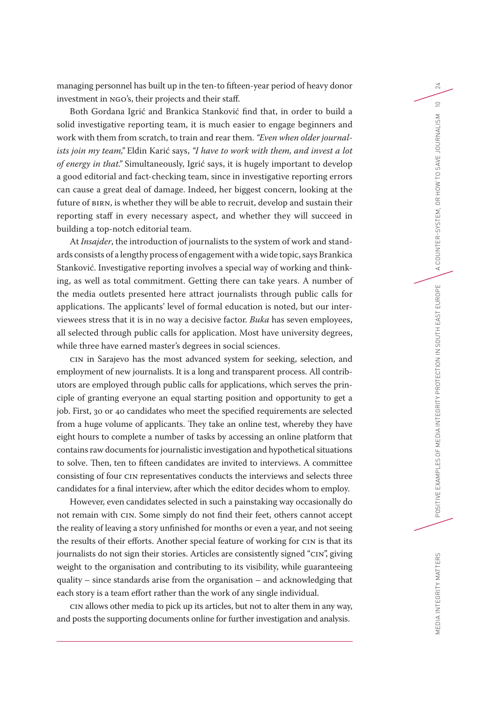managing personnel has built up in the ten-to fifteen-year period of heavy donor investment in NGO's, their projects and their staff.

Both Gordana Igrić and Brankica Stanković find that, in order to build a solid investigative reporting team, it is much easier to engage beginners and work with them from scratch, to train and rear them. *"Even when older journalists join my team,"* Eldin Karić says, *"I have to work with them, and invest a lot of energy in that."* Simultaneously, Igrić says, it is hugely important to develop a good editorial and fact-checking team, since in investigative reporting errors can cause a great deal of damage. Indeed, her biggest concern, looking at the future of BIRN, is whether they will be able to recruit, develop and sustain their reporting staff in every necessary aspect, and whether they will succeed in building a top-notch editorial team.

At *Insajder*, the introduction of journalists to the system of work and standards consists of a lengthy process of engagement with a wide topic, says Brankica Stanković. Investigative reporting involves a special way of working and thinking, as well as total commitment. Getting there can take years. A number of the media outlets presented here attract journalists through public calls for applications. The applicants' level of formal education is noted, but our interviewees stress that it is in no way a decisive factor. *Buka* has seven employees, all selected through public calls for application. Most have university degrees, while three have earned master's degrees in social sciences.

CIN in Sarajevo has the most advanced system for seeking, selection, and employment of new journalists. It is a long and transparent process. All contributors are employed through public calls for applications, which serves the principle of granting everyone an equal starting position and opportunity to get a job. First, 30 or 40 candidates who meet the specified requirements are selected from a huge volume of applicants. They take an online test, whereby they have eight hours to complete a number of tasks by accessing an online platform that contains raw documents for journalistic investigation and hypothetical situations to solve. Then, ten to fifteen candidates are invited to interviews. A committee consisting of four CIN representatives conducts the interviews and selects three candidates for a final interview, after which the editor decides whom to employ.

However, even candidates selected in such a painstaking way occasionally do not remain with CIN. Some simply do not find their feet, others cannot accept the reality of leaving a story unfinished for months or even a year, and not seeing the results of their efforts. Another special feature of working for CIN is that its journalists do not sign their stories. Articles are consistently signed "CIN", giving weight to the organisation and contributing to its visibility, while guaranteeing quality – since standards arise from the organisation – and acknowledging that each story is a team effort rather than the work of any single individual.

CIN allows other media to pick up its articles, but not to alter them in any way, and posts the supporting documents online for further investigation and analysis.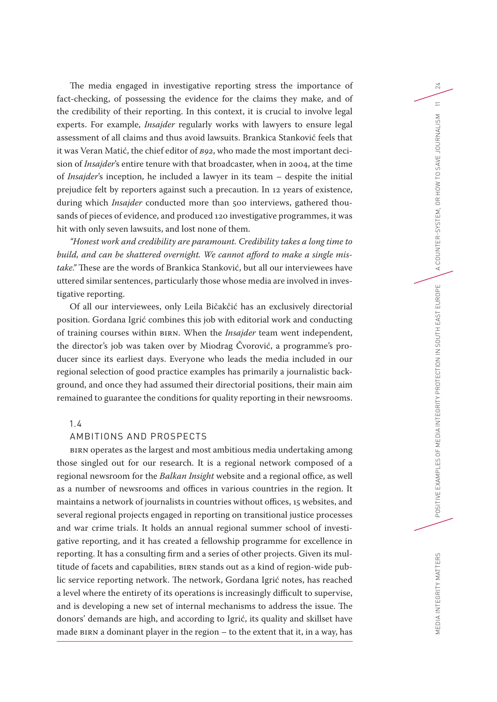The media engaged in investigative reporting stress the importance of fact-checking, of possessing the evidence for the claims they make, and of the credibility of their reporting. In this context, it is crucial to involve legal experts. For example, *Insajder* regularly works with lawyers to ensure legal assessment of all claims and thus avoid lawsuits. Brankica Stanković feels that it was Veran Matić, the chief editor of *B92*, who made the most important decision of *Insajder*'s entire tenure with that broadcaster, when in 2004, at the time of *Insajder*'s inception, he included a lawyer in its team – despite the initial prejudice felt by reporters against such a precaution. In 12 years of existence, during which *Insajder* conducted more than 500 interviews, gathered thousands of pieces of evidence, and produced 120 investigative programmes, it was hit with only seven lawsuits, and lost none of them.

*"Honest work and credibility are paramount. Credibility takes a long time to build, and can be shattered overnight. We cannot afford to make a single mistake."* These are the words of Brankica Stanković, but all our interviewees have uttered similar sentences, particularly those whose media are involved in investigative reporting.

Of all our interviewees, only Leila Bičakčić has an exclusively directorial position. Gordana Igrić combines this job with editorial work and conducting of training courses within BIRN. When the *Insajder* team went independent, the director's job was taken over by Miodrag Čvorović, a programme's producer since its earliest days. Everyone who leads the media included in our regional selection of good practice examples has primarily a journalistic background, and once they had assumed their directorial positions, their main aim remained to guarantee the conditions for quality reporting in their newsrooms.

## 1.4

## AMBITIONS AND PROSPECTS

BIRN operates as the largest and most ambitious media undertaking among those singled out for our research. It is a regional network composed of a regional newsroom for the *Balkan Insight* website and a regional office, as well as a number of newsrooms and offices in various countries in the region. It maintains a network of journalists in countries without offices, 15 websites, and several regional projects engaged in reporting on transitional justice processes and war crime trials. It holds an annual regional summer school of investigative reporting, and it has created a fellowship programme for excellence in reporting. It has a consulting firm and a series of other projects. Given its multitude of facets and capabilities, BIRN stands out as a kind of region-wide public service reporting network. The network, Gordana Igrić notes, has reached a level where the entirety of its operations is increasingly difficult to supervise, and is developing a new set of internal mechanisms to address the issue. The donors' demands are high, and according to Igrić, its quality and skillset have made BIRN a dominant player in the region – to the extent that it, in a way, has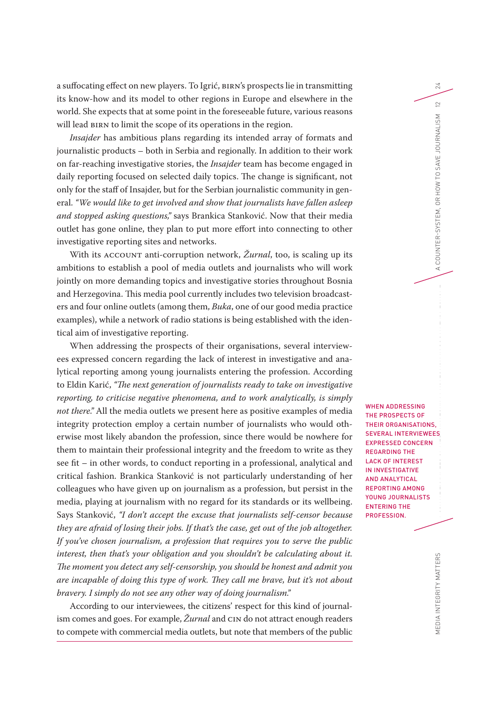a suffocating effect on new players. To Igrić, BIRN's prospects lie in transmitting its know-how and its model to other regions in Europe and elsewhere in the world. She expects that at some point in the foreseeable future, various reasons will lead BIRN to limit the scope of its operations in the region.

*Insajder* has ambitious plans regarding its intended array of formats and journalistic products – both in Serbia and regionally. In addition to their work on far-reaching investigative stories, the *Insajder* team has become engaged in daily reporting focused on selected daily topics. The change is significant, not only for the staff of Insajder, but for the Serbian journalistic community in general. *"We would like to get involved and show that journalists have fallen asleep and stopped asking questions,"* says Brankica Stanković. Now that their media outlet has gone online, they plan to put more effort into connecting to other investigative reporting sites and networks.

With its ACCOUNT anti-corruption network, *Žurnal*, too, is scaling up its ambitions to establish a pool of media outlets and journalists who will work jointly on more demanding topics and investigative stories throughout Bosnia and Herzegovina. This media pool currently includes two television broadcasters and four online outlets (among them, *Buka*, one of our good media practice examples), while a network of radio stations is being established with the identical aim of investigative reporting.

When addressing the prospects of their organisations, several interviewees expressed concern regarding the lack of interest in investigative and analytical reporting among young journalists entering the profession. According to Eldin Karić, *"The next generation of journalists ready to take on investigative reporting, to criticise negative phenomena, and to work analytically, is simply not there."* All the media outlets we present here as positive examples of media integrity protection employ a certain number of journalists who would otherwise most likely abandon the profession, since there would be nowhere for them to maintain their professional integrity and the freedom to write as they see fit – in other words, to conduct reporting in a professional, analytical and critical fashion. Brankica Stanković is not particularly understanding of her colleagues who have given up on journalism as a profession, but persist in the media, playing at journalism with no regard for its standards or its wellbeing. Says Stanković, *"I don't accept the excuse that journalists self-censor because they are afraid of losing their jobs. If that's the case, get out of the job altogether. If you've chosen journalism, a profession that requires you to serve the public interest, then that's your obligation and you shouldn't be calculating about it. The moment you detect any self-censorship, you should be honest and admit you are incapable of doing this type of work. They call me brave, but it's not about bravery. I simply do not see any other way of doing journalism."*

According to our interviewees, the citizens' respect for this kind of journalism comes and goes. For example, *Žurnal* and CIN do not attract enough readers to compete with commercial media outlets, but note that members of the public

MEDIA INTEGRITY MATTERS POSITIVE EXAMPLES OF MEDIA INTEGRITY PROTECTION IN SOUTH EAST ER-SYSTEM, OR HOW TO SAVE JOURNALISM 12 WHEN ADDRESSING THE PROSPECTS OF THEIR ORGANISATIONS, SEVERAL INTERVIEWEES EXPRESSED CONCERN REGARDING THE LACK OF INTEREST IN INVESTIGATIVE AND ANALYTICAL REPORTING AMONG YOUNG JOURNALISTS ENTERING THE PROFESSION.

24

 $\approx$ 

COUNTER-SYSTEM. OR HOW TO SAVE JOURNALISM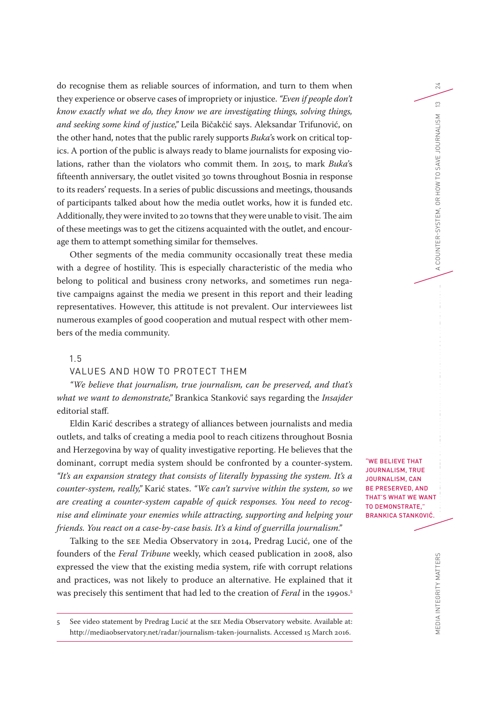do recognise them as reliable sources of information, and turn to them when they experience or observe cases of impropriety or injustice. *"Even if people don't know exactly what we do, they know we are investigating things, solving things, and seeking some kind of justice,"* Leila Bičakčić says. Aleksandar Trifunović, on the other hand, notes that the public rarely supports *Buka*'s work on critical topics. A portion of the public is always ready to blame journalists for exposing violations, rather than the violators who commit them. In 2015, to mark *Buka*'s fifteenth anniversary, the outlet visited 30 towns throughout Bosnia in response to its readers' requests. In a series of public discussions and meetings, thousands of participants talked about how the media outlet works, how it is funded etc. Additionally, they were invited to 20 towns that they were unable to visit. The aim of these meetings was to get the citizens acquainted with the outlet, and encourage them to attempt something similar for themselves.

Other segments of the media community occasionally treat these media with a degree of hostility. This is especially characteristic of the media who belong to political and business crony networks, and sometimes run negative campaigns against the media we present in this report and their leading representatives. However, this attitude is not prevalent. Our interviewees list numerous examples of good cooperation and mutual respect with other members of the media community.

#### 1.5

#### VALUES AND HOW TO PROTECT THEM

*"We believe that journalism, true journalism, can be preserved, and that's what we want to demonstrate,"* Brankica Stanković says regarding the *Insajder* editorial staff.

Eldin Karić describes a strategy of alliances between journalists and media outlets, and talks of creating a media pool to reach citizens throughout Bosnia and Herzegovina by way of quality investigative reporting. He believes that the dominant, corrupt media system should be confronted by a counter-system. *"It's an expansion strategy that consists of literally bypassing the system. It's a counter-system, really,"* Karić states. *"We can't survive within the system, so we are creating a counter-system capable of quick responses. You need to recognise and eliminate your enemies while attracting, supporting and helping your friends. You react on a case-by-case basis. It's a kind of guerrilla journalism."*

Talking to the SEE Media Observatory in 2014, Predrag Lucić, one of the founders of the *Feral Tribune* weekly, which ceased publication in 2008, also expressed the view that the existing media system, rife with corrupt relations and practices, was not likely to produce an alternative. He explained that it was precisely this sentiment that had led to the creation of *Feral* in the 1990s.<sup>5</sup>

5 See video statement by Predrag Lucić at the SEE Media Observatory website. Available at: [http://mediaobservatory.net/radar/journalism-taken-journalists.](http://mediaobservatory.net/radar/journalism-taken-journalists) Accessed 15 March 2016.

"WE BELIEVE THAT JOURNALISM, TRUE JOURNALISM, CAN BE PRESERVED, AND THAT'S WHAT WE WANT TO DEMONSTRATE," BRANKICA STANKOVIĆ.

24

 $\frac{1}{2}$ 

A COUNTER-SYSTEM, OR HOW TO SAVE JOURNALISM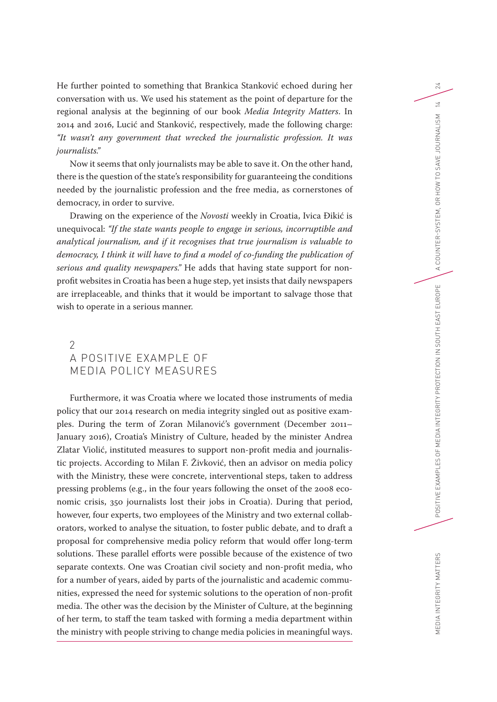He further pointed to something that Brankica Stanković echoed during her conversation with us. We used his statement as the point of departure for the regional analysis at the beginning of our book *Media Integrity Matters*. In 2014 and 2016, Lucić and Stanković, respectively, made the following charge: *"It wasn't any government that wrecked the journalistic profession. It was journalists."*

Now it seems that only journalists may be able to save it. On the other hand, there is the question of the state's responsibility for guaranteeing the conditions needed by the journalistic profession and the free media, as cornerstones of democracy, in order to survive.

Drawing on the experience of the *Novosti* weekly in Croatia, Ivica Đikić is unequivocal: *"If the state wants people to engage in serious, incorruptible and analytical journalism, and if it recognises that true journalism is valuable to democracy, I think it will have to find a model of co-funding the publication of serious and quality newspapers."* He adds that having state support for nonprofit websites in Croatia has been a huge step, yet insists that daily newspapers are irreplaceable, and thinks that it would be important to salvage those that wish to operate in a serious manner.

# $\mathcal{P}$ A POSITIVE EXAMPLE OF MEDIA POLICY MEASURES

Furthermore, it was Croatia where we located those instruments of media policy that our 2014 research on media integrity singled out as positive examples. During the term of Zoran Milanović's government (December 2011– January 2016), Croatia's Ministry of Culture, headed by the minister Andrea Zlatar Violić, instituted measures to support non-profit media and journalistic projects. According to Milan F. Živković, then an advisor on media policy with the Ministry, these were concrete, interventional steps, taken to address pressing problems (e.g., in the four years following the onset of the 2008 economic crisis, 350 journalists lost their jobs in Croatia). During that period, however, four experts, two employees of the Ministry and two external collaborators, worked to analyse the situation, to foster public debate, and to draft a proposal for comprehensive media policy reform that would offer long-term solutions. These parallel efforts were possible because of the existence of two separate contexts. One was Croatian civil society and non-profit media, who for a number of years, aided by parts of the journalistic and academic communities, expressed the need for systemic solutions to the operation of non-profit media. The other was the decision by the Minister of Culture, at the beginning of her term, to staff the team tasked with forming a media department within the ministry with people striving to change media policies in meaningful ways.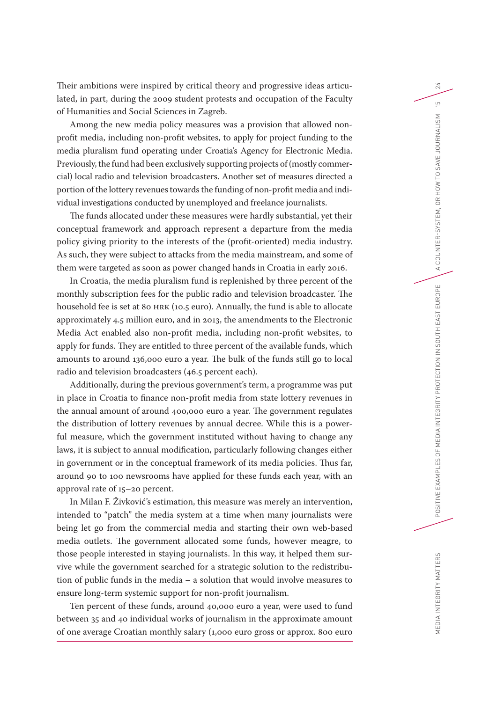Their ambitions were inspired by critical theory and progressive ideas articulated, in part, during the 2009 student protests and occupation of the Faculty of Humanities and Social Sciences in Zagreb.

Among the new media policy measures was a provision that allowed nonprofit media, including non-profit websites, to apply for project funding to the media pluralism fund operating under Croatia's Agency for Electronic Media. Previously, the fund had been exclusively supporting projects of (mostly commercial) local radio and television broadcasters. Another set of measures directed a portion of the lottery revenues towards the funding of non-profit media and individual investigations conducted by unemployed and freelance journalists.

The funds allocated under these measures were hardly substantial, yet their conceptual framework and approach represent a departure from the media policy giving priority to the interests of the (profit-oriented) media industry. As such, they were subject to attacks from the media mainstream, and some of them were targeted as soon as power changed hands in Croatia in early 2016.

In Croatia, the media pluralism fund is replenished by three percent of the monthly subscription fees for the public radio and television broadcaster. The household fee is set at 80 HRK (10.5 euro). Annually, the fund is able to allocate approximately 4.5 million euro, and in 2013, the amendments to the Electronic Media Act enabled also non-profit media, including non-profit websites, to apply for funds. They are entitled to three percent of the available funds, which amounts to around 136,000 euro a year. The bulk of the funds still go to local radio and television broadcasters (46.5 percent each).

Additionally, during the previous government's term, a programme was put in place in Croatia to finance non-profit media from state lottery revenues in the annual amount of around 400,000 euro a year. The government regulates the distribution of lottery revenues by annual decree. While this is a powerful measure, which the government instituted without having to change any laws, it is subject to annual modification, particularly following changes either in government or in the conceptual framework of its media policies. Thus far, around 90 to 100 newsrooms have applied for these funds each year, with an approval rate of 15–20 percent.

In Milan F. Živković's estimation, this measure was merely an intervention, intended to "patch" the media system at a time when many journalists were being let go from the commercial media and starting their own web-based media outlets. The government allocated some funds, however meagre, to those people interested in staying journalists. In this way, it helped them survive while the government searched for a strategic solution to the redistribution of public funds in the media – a solution that would involve measures to ensure long-term systemic support for non-profit journalism.

Ten percent of these funds, around 40,000 euro a year, were used to fund between 35 and 40 individual works of journalism in the approximate amount of one average Croatian monthly salary (1,000 euro gross or approx. 800 euro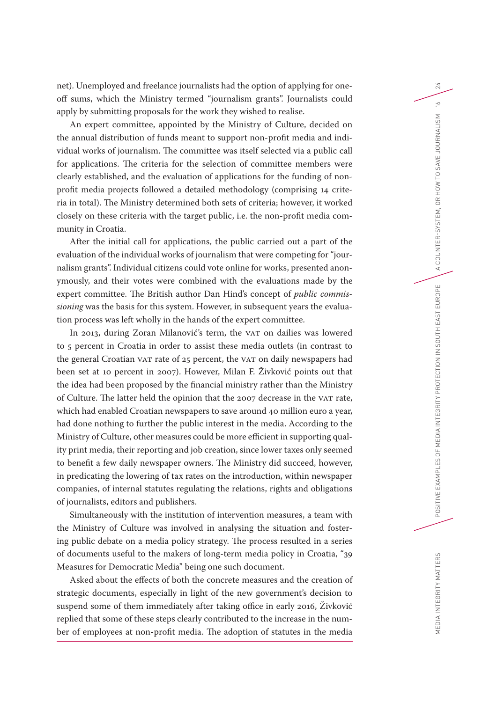net). Unemployed and freelance journalists had the option of applying for oneoff sums, which the Ministry termed "journalism grants". Journalists could apply by submitting proposals for the work they wished to realise.

An expert committee, appointed by the Ministry of Culture, decided on the annual distribution of funds meant to support non-profit media and individual works of journalism. The committee was itself selected via a public call for applications. The criteria for the selection of committee members were clearly established, and the evaluation of applications for the funding of nonprofit media projects followed a detailed methodology (comprising 14 criteria in total). The Ministry determined both sets of criteria; however, it worked closely on these criteria with the target public, i.e. the non-profit media community in Croatia.

After the initial call for applications, the public carried out a part of the evaluation of the individual works of journalism that were competing for "journalism grants". Individual citizens could vote online for works, presented anonymously, and their votes were combined with the evaluations made by the expert committee. The British author Dan Hind's concept of *public commissioning* was the basis for this system. However, in subsequent years the evaluation process was left wholly in the hands of the expert committee.

In 2013, during Zoran Milanović's term, the VAT on dailies was lowered to 5 percent in Croatia in order to assist these media outlets (in contrast to the general Croatian VAT rate of 25 percent, the VAT on daily newspapers had been set at 10 percent in 2007). However, Milan F. Živković points out that the idea had been proposed by the financial ministry rather than the Ministry of Culture. The latter held the opinion that the 2007 decrease in the VAT rate, which had enabled Croatian newspapers to save around 40 million euro a year, had done nothing to further the public interest in the media. According to the Ministry of Culture, other measures could be more efficient in supporting quality print media, their reporting and job creation, since lower taxes only seemed to benefit a few daily newspaper owners. The Ministry did succeed, however, in predicating the lowering of tax rates on the introduction, within newspaper companies, of internal statutes regulating the relations, rights and obligations of journalists, editors and publishers.

Simultaneously with the institution of intervention measures, a team with the Ministry of Culture was involved in analysing the situation and fostering public debate on a media policy strategy. The process resulted in a series of documents useful to the makers of long-term media policy in Croatia, "39 Measures for Democratic Media" being one such document.

Asked about the effects of both the concrete measures and the creation of strategic documents, especially in light of the new government's decision to suspend some of them immediately after taking office in early 2016, Živković replied that some of these steps clearly contributed to the increase in the number of employees at non-profit media. The adoption of statutes in the media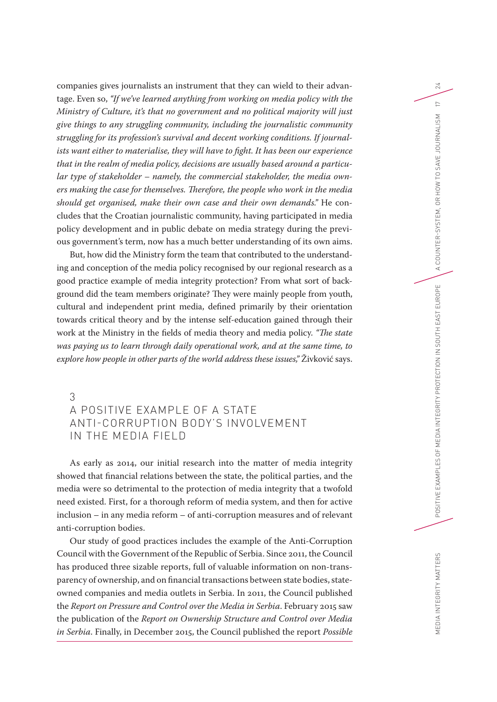companies gives journalists an instrument that they can wield to their advantage. Even so, *"If we've learned anything from working on media policy with the Ministry of Culture, it's that no government and no political majority will just give things to any struggling community, including the journalistic community struggling for its profession's survival and decent working conditions. If journalists want either to materialise, they will have to fight. It has been our experience that in the realm of media policy, decisions are usually based around a particular type of stakeholder – namely, the commercial stakeholder, the media owners making the case for themselves. Therefore, the people who work in the media should get organised, make their own case and their own demands."* He concludes that the Croatian journalistic community, having participated in media policy development and in public debate on media strategy during the previous government's term, now has a much better understanding of its own aims.

But, how did the Ministry form the team that contributed to the understanding and conception of the media policy recognised by our regional research as a good practice example of media integrity protection? From what sort of background did the team members originate? They were mainly people from youth, cultural and independent print media, defined primarily by their orientation towards critical theory and by the intense self-education gained through their work at the Ministry in the fields of media theory and media policy. *"The state was paying us to learn through daily operational work, and at the same time, to explore how people in other parts of the world address these issues,"* Živković says.

# 3 A POSITIVE EXAMPLE OF A STATE ANTI-CORRUPTION BODY'S INVOLVEMENT IN THE MEDIA FIELD

As early as 2014, our initial research into the matter of media integrity showed that financial relations between the state, the political parties, and the media were so detrimental to the protection of media integrity that a twofold need existed. First, for a thorough reform of media system, and then for active inclusion – in any media reform – of anti-corruption measures and of relevant anti-corruption bodies.

Our study of good practices includes the example of the Anti-Corruption Council with the Government of the Republic of Serbia. Since 2011, the Council has produced three sizable reports, full of valuable information on non-transparency of ownership, and on financial transactions between state bodies, stateowned companies and media outlets in Serbia. In 2011, the Council published the *Report on Pressure and Control over the Media in Serbia*. February 2015 saw the publication of the *Report on Ownership Structure and Control over Media in Serbia*. Finally, in December 2015, the Council published the report *Possible*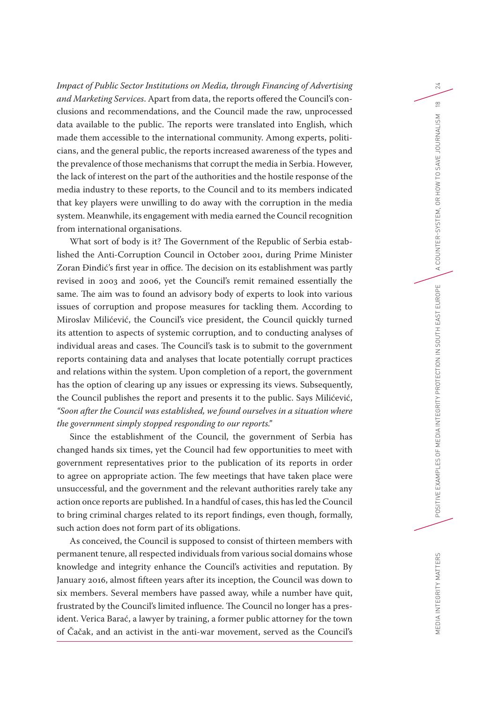*Impact of Public Sector Institutions on Media, through Financing of Advertising and Marketing Services*. Apart from data, the reports offered the Council's conclusions and recommendations, and the Council made the raw, unprocessed data available to the public. The reports were translated into English, which made them accessible to the international community. Among experts, politicians, and the general public, the reports increased awareness of the types and the prevalence of those mechanisms that corrupt the media in Serbia. However, the lack of interest on the part of the authorities and the hostile response of the media industry to these reports, to the Council and to its members indicated that key players were unwilling to do away with the corruption in the media system. Meanwhile, its engagement with media earned the Council recognition from international organisations.

What sort of body is it? The Government of the Republic of Serbia established the Anti-Corruption Council in October 2001, during Prime Minister Zoran Đinđić's first year in office. The decision on its establishment was partly revised in 2003 and 2006, yet the Council's remit remained essentially the same. The aim was to found an advisory body of experts to look into various issues of corruption and propose measures for tackling them. According to Miroslav Milićević, the Council's vice president, the Council quickly turned its attention to aspects of systemic corruption, and to conducting analyses of individual areas and cases. The Council's task is to submit to the government reports containing data and analyses that locate potentially corrupt practices and relations within the system. Upon completion of a report, the government has the option of clearing up any issues or expressing its views. Subsequently, the Council publishes the report and presents it to the public. Says Milićević, *"Soon after the Council was established, we found ourselves in a situation where the government simply stopped responding to our reports."*

Since the establishment of the Council, the government of Serbia has changed hands six times, yet the Council had few opportunities to meet with government representatives prior to the publication of its reports in order to agree on appropriate action. The few meetings that have taken place were unsuccessful, and the government and the relevant authorities rarely take any action once reports are published. In a handful of cases, this has led the Council to bring criminal charges related to its report findings, even though, formally, such action does not form part of its obligations.

As conceived, the Council is supposed to consist of thirteen members with permanent tenure, all respected individuals from various social domains whose knowledge and integrity enhance the Council's activities and reputation. By January 2016, almost fifteen years after its inception, the Council was down to six members. Several members have passed away, while a number have quit, frustrated by the Council's limited influence. The Council no longer has a president. Verica Barać, a lawyer by training, a former public attorney for the town of Čačak, and an activist in the anti-war movement, served as the Council's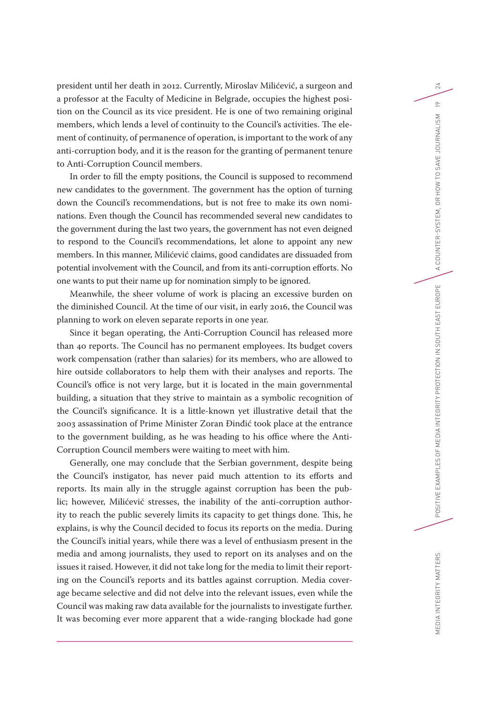president until her death in 2012. Currently, Miroslav Milićević, a surgeon and a professor at the Faculty of Medicine in Belgrade, occupies the highest position on the Council as its vice president. He is one of two remaining original members, which lends a level of continuity to the Council's activities. The element of continuity, of permanence of operation, is important to the work of any anti-corruption body, and it is the reason for the granting of permanent tenure to Anti-Corruption Council members.

In order to fill the empty positions, the Council is supposed to recommend new candidates to the government. The government has the option of turning down the Council's recommendations, but is not free to make its own nominations. Even though the Council has recommended several new candidates to the government during the last two years, the government has not even deigned to respond to the Council's recommendations, let alone to appoint any new members. In this manner, Milićević claims, good candidates are dissuaded from potential involvement with the Council, and from its anti-corruption efforts. No one wants to put their name up for nomination simply to be ignored.

Meanwhile, the sheer volume of work is placing an excessive burden on the diminished Council. At the time of our visit, in early 2016, the Council was planning to work on eleven separate reports in one year.

Since it began operating, the Anti-Corruption Council has released more than 40 reports. The Council has no permanent employees. Its budget covers work compensation (rather than salaries) for its members, who are allowed to hire outside collaborators to help them with their analyses and reports. The Council's office is not very large, but it is located in the main governmental building, a situation that they strive to maintain as a symbolic recognition of the Council's significance. It is a little-known yet illustrative detail that the 2003 assassination of Prime Minister Zoran Đinđić took place at the entrance to the government building, as he was heading to his office where the Anti-Corruption Council members were waiting to meet with him.

Generally, one may conclude that the Serbian government, despite being the Council's instigator, has never paid much attention to its efforts and reports. Its main ally in the struggle against corruption has been the public; however, Milićević stresses, the inability of the anti-corruption authority to reach the public severely limits its capacity to get things done. This, he explains, is why the Council decided to focus its reports on the media. During the Council's initial years, while there was a level of enthusiasm present in the media and among journalists, they used to report on its analyses and on the issues it raised. However, it did not take long for the media to limit their reporting on the Council's reports and its battles against corruption. Media coverage became selective and did not delve into the relevant issues, even while the Council was making raw data available for the journalists to investigate further. It was becoming ever more apparent that a wide-ranging blockade had gone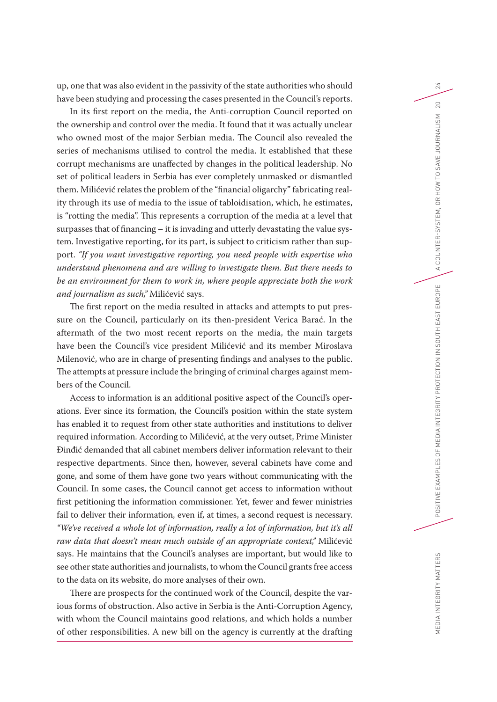up, one that was also evident in the passivity of the state authorities who should have been studying and processing the cases presented in the Council's reports.

In its first report on the media, the Anti-corruption Council reported on the ownership and control over the media. It found that it was actually unclear who owned most of the major Serbian media. The Council also revealed the series of mechanisms utilised to control the media. It established that these corrupt mechanisms are unaffected by changes in the political leadership. No set of political leaders in Serbia has ever completely unmasked or dismantled them. Milićević relates the problem of the "financial oligarchy" fabricating reality through its use of media to the issue of tabloidisation, which, he estimates, is "rotting the media". This represents a corruption of the media at a level that surpasses that of financing – it is invading and utterly devastating the value system. Investigative reporting, for its part, is subject to criticism rather than support. *"If you want investigative reporting, you need people with expertise who understand phenomena and are willing to investigate them. But there needs to be an environment for them to work in, where people appreciate both the work and journalism as such,"* Milićević says.

The first report on the media resulted in attacks and attempts to put pressure on the Council, particularly on its then-president Verica Barać. In the aftermath of the two most recent reports on the media, the main targets have been the Council's vice president Milićević and its member Miroslava Milenović, who are in charge of presenting findings and analyses to the public. The attempts at pressure include the bringing of criminal charges against members of the Council.

Access to information is an additional positive aspect of the Council's operations. Ever since its formation, the Council's position within the state system has enabled it to request from other state authorities and institutions to deliver required information. According to Milićević, at the very outset, Prime Minister Đinđić demanded that all cabinet members deliver information relevant to their respective departments. Since then, however, several cabinets have come and gone, and some of them have gone two years without communicating with the Council. In some cases, the Council cannot get access to information without first petitioning the information commissioner. Yet, fewer and fewer ministries fail to deliver their information, even if, at times, a second request is necessary. *"We've received a whole lot of information, really a lot of information, but it's all raw data that doesn't mean much outside of an appropriate context,"* Milićević says. He maintains that the Council's analyses are important, but would like to see other state authorities and journalists, to whom the Council grants free access to the data on its website, do more analyses of their own.

There are prospects for the continued work of the Council, despite the various forms of obstruction. Also active in Serbia is the Anti-Corruption Agency, with whom the Council maintains good relations, and which holds a number of other responsibilities. A new bill on the agency is currently at the drafting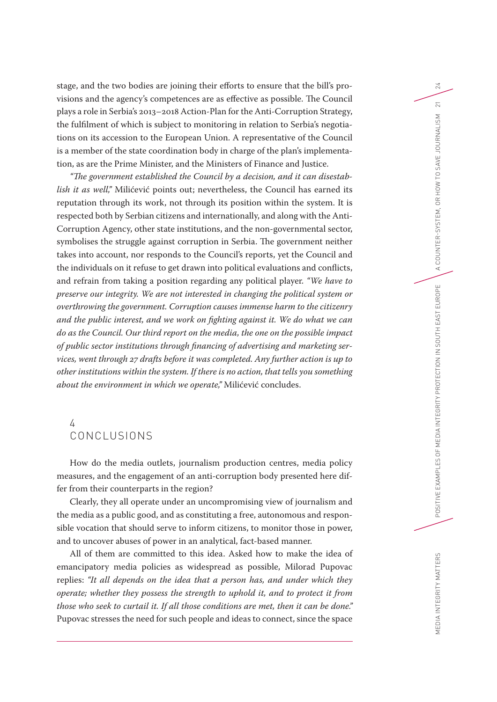stage, and the two bodies are joining their efforts to ensure that the bill's provisions and the agency's competences are as effective as possible. The Council plays a role in Serbia's 2013–2018 Action-Plan for the Anti-Corruption Strategy, the fulfilment of which is subject to monitoring in relation to Serbia's negotiations on its accession to the European Union. A representative of the Council is a member of the state coordination body in charge of the plan's implementation, as are the Prime Minister, and the Ministers of Finance and Justice.

*"The government established the Council by a decision, and it can disestablish it as well,"* Milićević points out; nevertheless, the Council has earned its reputation through its work, not through its position within the system. It is respected both by Serbian citizens and internationally, and along with the Anti-Corruption Agency, other state institutions, and the non-governmental sector, symbolises the struggle against corruption in Serbia. The government neither takes into account, nor responds to the Council's reports, yet the Council and the individuals on it refuse to get drawn into political evaluations and conflicts, and refrain from taking a position regarding any political player. *"We have to preserve our integrity. We are not interested in changing the political system or overthrowing the government. Corruption causes immense harm to the citizenry and the public interest, and we work on fighting against it. We do what we can do as the Council. Our third report on the media, the one on the possible impact of public sector institutions through financing of advertising and marketing services, went through 27 drafts before it was completed. Any further action is up to other institutions within the system. If there is no action, that tells you something about the environment in which we operate,"* Milićević concludes.

# 4 CONCLUSIONS

How do the media outlets, journalism production centres, media policy measures, and the engagement of an anti-corruption body presented here differ from their counterparts in the region?

Clearly, they all operate under an uncompromising view of journalism and the media as a public good, and as constituting a free, autonomous and responsible vocation that should serve to inform citizens, to monitor those in power, and to uncover abuses of power in an analytical, fact-based manner.

All of them are committed to this idea. Asked how to make the idea of emancipatory media policies as widespread as possible, Milorad Pupovac replies: *"It all depends on the idea that a person has, and under which they operate; whether they possess the strength to uphold it, and to protect it from those who seek to curtail it. If all those conditions are met, then it can be done."* Pupovac stresses the need for such people and ideas to connect, since the space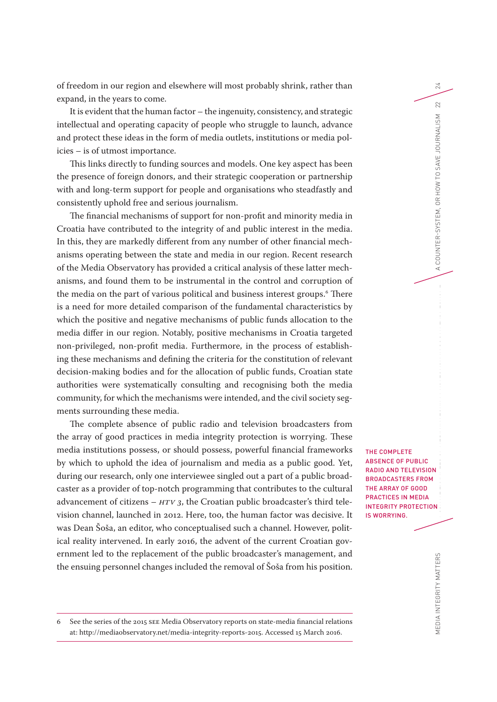of freedom in our region and elsewhere will most probably shrink, rather than expand, in the years to come.

It is evident that the human factor – the ingenuity, consistency, and strategic intellectual and operating capacity of people who struggle to launch, advance and protect these ideas in the form of media outlets, institutions or media policies – is of utmost importance.

This links directly to funding sources and models. One key aspect has been the presence of foreign donors, and their strategic cooperation or partnership with and long-term support for people and organisations who steadfastly and consistently uphold free and serious journalism.

The financial mechanisms of support for non-profit and minority media in Croatia have contributed to the integrity of and public interest in the media. In this, they are markedly different from any number of other financial mechanisms operating between the state and media in our region. Recent research of the Media Observatory has provided a critical analysis of these latter mechanisms, and found them to be instrumental in the control and corruption of the media on the part of various political and business interest groups.6 There is a need for more detailed comparison of the fundamental characteristics by which the positive and negative mechanisms of public funds allocation to the media differ in our region. Notably, positive mechanisms in Croatia targeted non-privileged, non-profit media. Furthermore, in the process of establishing these mechanisms and defining the criteria for the constitution of relevant decision-making bodies and for the allocation of public funds, Croatian state authorities were systematically consulting and recognising both the media community, for which the mechanisms were intended, and the civil society segments surrounding these media.

The complete absence of public radio and television broadcasters from the array of good practices in media integrity protection is worrying. These media institutions possess, or should possess, powerful financial frameworks by which to uphold the idea of journalism and media as a public good. Yet, during our research, only one interviewee singled out a part of a public broadcaster as a provider of top-notch programming that contributes to the cultural advancement of citizens  $-$  *HTV* 3, the Croatian public broadcaster's third television channel, launched in 2012. Here, too, the human factor was decisive. It was Dean Šoša, an editor, who conceptualised such a channel. However, political reality intervened. In early 2016, the advent of the current Croatian government led to the replacement of the public broadcaster's management, and the ensuing personnel changes included the removal of Šoša from his position.

THE COMPLETE ABSENCE OF PUBLIC RADIO AND TELEVISION BROADCASTERS FROM THE ARRAY OF GOOD PRACTICES IN MEDIA INTEGRITY PROTECTION IS WORRYING.

24

22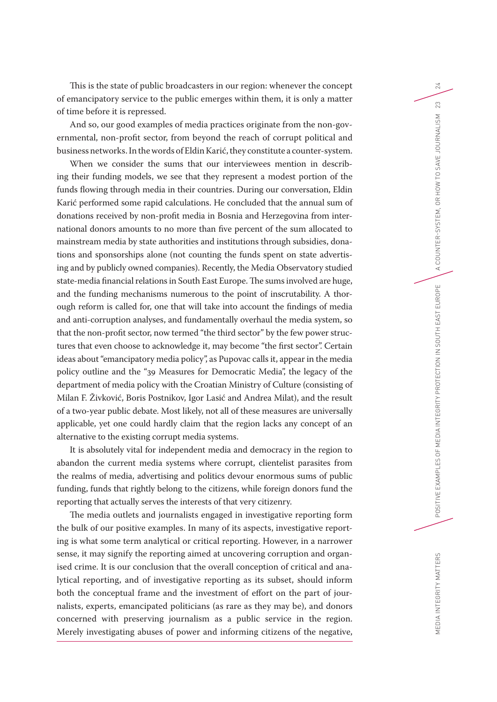This is the state of public broadcasters in our region: whenever the concept of emancipatory service to the public emerges within them, it is only a matter of time before it is repressed.

And so, our good examples of media practices originate from the non-governmental, non-profit sector, from beyond the reach of corrupt political and business networks. In the words of Eldin Karić, they constitute a counter-system.

When we consider the sums that our interviewees mention in describing their funding models, we see that they represent a modest portion of the funds flowing through media in their countries. During our conversation, Eldin Karić performed some rapid calculations. He concluded that the annual sum of donations received by non-profit media in Bosnia and Herzegovina from international donors amounts to no more than five percent of the sum allocated to mainstream media by state authorities and institutions through subsidies, donations and sponsorships alone (not counting the funds spent on state advertising and by publicly owned companies). Recently, the Media Observatory studied state-media financial relations in South East Europe. The sums involved are huge, and the funding mechanisms numerous to the point of inscrutability. A thorough reform is called for, one that will take into account the findings of media and anti-corruption analyses, and fundamentally overhaul the media system, so that the non-profit sector, now termed "the third sector" by the few power structures that even choose to acknowledge it, may become "the first sector". Certain ideas about "emancipatory media policy", as Pupovac calls it, appear in the media policy outline and the "39 Measures for Democratic Media", the legacy of the department of media policy with the Croatian Ministry of Culture (consisting of Milan F. Živković, Boris Postnikov, Igor Lasić and Andrea Milat), and the result of a two-year public debate. Most likely, not all of these measures are universally applicable, yet one could hardly claim that the region lacks any concept of an alternative to the existing corrupt media systems.

It is absolutely vital for independent media and democracy in the region to abandon the current media systems where corrupt, clientelist parasites from the realms of media, advertising and politics devour enormous sums of public funding, funds that rightly belong to the citizens, while foreign donors fund the reporting that actually serves the interests of that very citizenry.

The media outlets and journalists engaged in investigative reporting form the bulk of our positive examples. In many of its aspects, investigative reporting is what some term analytical or critical reporting. However, in a narrower sense, it may signify the reporting aimed at uncovering corruption and organised crime. It is our conclusion that the overall conception of critical and analytical reporting, and of investigative reporting as its subset, should inform both the conceptual frame and the investment of effort on the part of journalists, experts, emancipated politicians (as rare as they may be), and donors concerned with preserving journalism as a public service in the region. Merely investigating abuses of power and informing citizens of the negative,